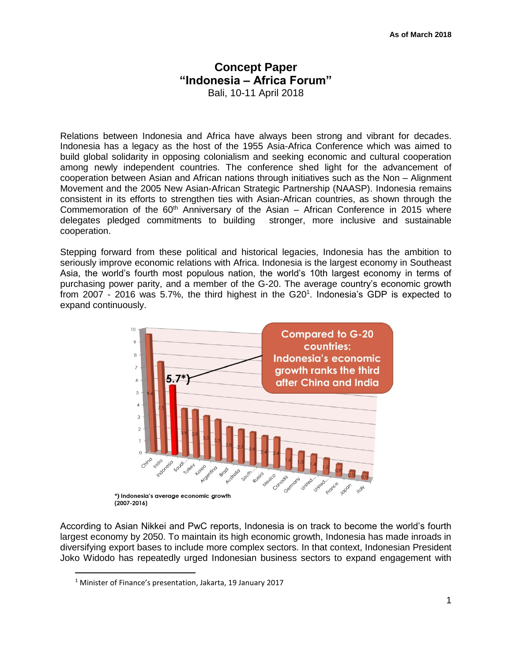# **Concept Paper "Indonesia – Africa Forum"**

Bali, 10-11 April 2018

Relations between Indonesia and Africa have always been strong and vibrant for decades. Indonesia has a legacy as the host of the 1955 Asia-Africa Conference which was aimed to build global solidarity in opposing colonialism and seeking economic and cultural cooperation among newly independent countries. The conference shed light for the advancement of cooperation between Asian and African nations through initiatives such as the Non – Alignment Movement and the 2005 New Asian-African Strategic Partnership (NAASP). Indonesia remains consistent in its efforts to strengthen ties with Asian-African countries, as shown through the Commemoration of the  $60<sup>th</sup>$  Anniversary of the Asian – African Conference in 2015 where delegates pledged commitments to building stronger, more inclusive and sustainable cooperation.

Stepping forward from these political and historical legacies, Indonesia has the ambition to seriously improve economic relations with Africa. Indonesia is the largest economy in Southeast Asia, the world's fourth most populous nation, the world's 10th largest economy in terms of purchasing power parity, and a member of the G-20. The average country's economic growth from 2007 - 2016 was 5.7%, the third highest in the G20<sup>1</sup>. Indonesia's GDP is expected to expand continuously.



According to Asian Nikkei and PwC reports, Indonesia is on track to become the world's fourth largest economy by 2050. To maintain its high economic growth, Indonesia has made inroads in diversifying export bases to include more complex sectors. In that context, Indonesian President Joko Widodo has repeatedly urged Indonesian business sectors to expand engagement with

 $\overline{a}$ 

<sup>1</sup> Minister of Finance's presentation, Jakarta, 19 January 2017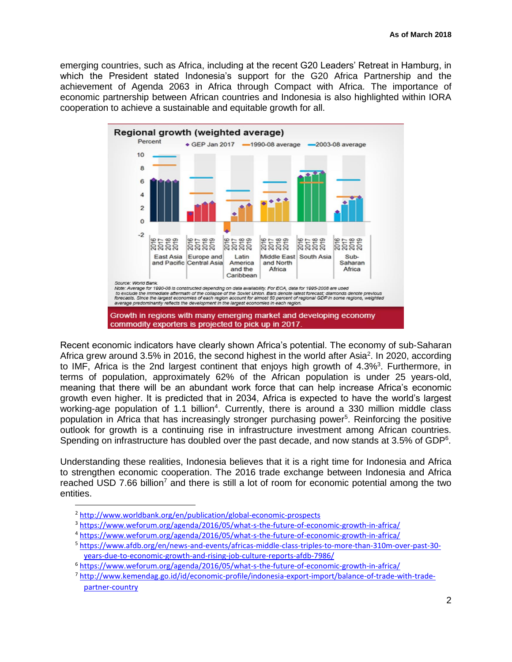emerging countries, such as Africa, including at the recent G20 Leaders' Retreat in Hamburg, in which the President stated Indonesia's support for the G20 Africa Partnership and the achievement of Agenda 2063 in Africa through Compact with Africa. The importance of economic partnership between African countries and Indonesia is also highlighted within IORA cooperation to achieve a sustainable and equitable growth for all.



Recent economic indicators have clearly shown Africa's potential. The economy of sub-Saharan Africa grew around 3.5% in 2016, the second highest in the world after Asia<sup>2</sup>. In 2020, according to IMF, Africa is the 2nd largest continent that enjoys high growth of 4.3%<sup>3</sup>. Furthermore, in terms of population, approximately 62% of the African population is under 25 years-old, meaning that there will be an abundant work force that can help increase Africa's economic growth even higher. It is predicted that in 2034, Africa is expected to have the world's largest working-age population of 1.1 billion<sup>4</sup>. Currently, there is around a 330 million middle class population in Africa that has increasingly stronger purchasing power<sup>5</sup>. Reinforcing the positive outlook for growth is a continuing rise in infrastructure investment among African countries. Spending on infrastructure has doubled over the past decade, and now stands at 3.5% of GDP<sup>6</sup>.

Understanding these realities, Indonesia believes that it is a right time for Indonesia and Africa to strengthen economic cooperation. The 2016 trade exchange between Indonesia and Africa reached USD 7.66 billion<sup>7</sup> and there is still a lot of room for economic potential among the two entities.

 $\overline{a}$ 

<sup>2</sup> <http://www.worldbank.org/en/publication/global-economic-prospects>

<sup>3</sup> <https://www.weforum.org/agenda/2016/05/what-s-the-future-of-economic-growth-in-africa/>

<sup>4</sup> <https://www.weforum.org/agenda/2016/05/what-s-the-future-of-economic-growth-in-africa/>

<sup>5</sup> [https://www.afdb.org/en/news-and-events/africas-middle-class-triples-to-more-than-310m-over-past-30](https://www.afdb.org/en/news-and-events/africas-middle-class-triples-to-more-than-310m-over-past-30-years-due-to-economic-growth-and-rising-job-culture-reports-afdb-7986/) [years-due-to-economic-growth-and-rising-job-culture-reports-afdb-7986/](https://www.afdb.org/en/news-and-events/africas-middle-class-triples-to-more-than-310m-over-past-30-years-due-to-economic-growth-and-rising-job-culture-reports-afdb-7986/)

<sup>&</sup>lt;sup>6</sup> <https://www.weforum.org/agenda/2016/05/what-s-the-future-of-economic-growth-in-africa/>

<sup>7</sup> [http://www.kemendag.go.id/id/economic-profile/indonesia-export-import/balance-of-trade-with-trade](http://www.kemendag.go.id/id/economic-profile/indonesia-export-import/balance-of-trade-with-trade-partner-country)[partner-country](http://www.kemendag.go.id/id/economic-profile/indonesia-export-import/balance-of-trade-with-trade-partner-country)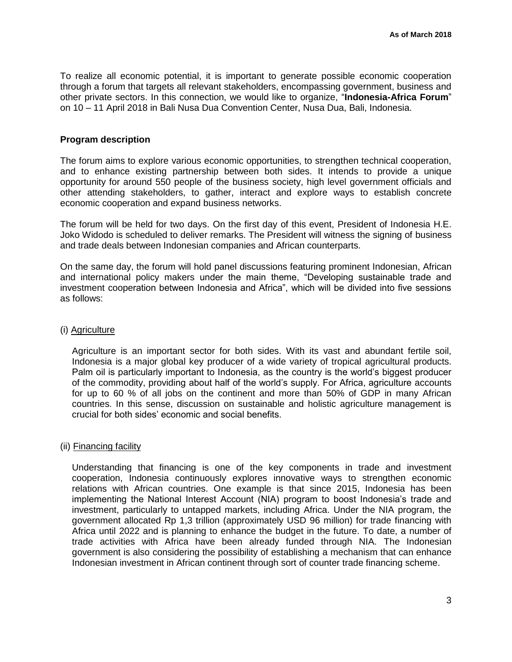To realize all economic potential, it is important to generate possible economic cooperation through a forum that targets all relevant stakeholders, encompassing government, business and other private sectors. In this connection, we would like to organize, "**Indonesia-Africa Forum**" on 10 – 11 April 2018 in Bali Nusa Dua Convention Center, Nusa Dua, Bali, Indonesia.

## **Program description**

The forum aims to explore various economic opportunities, to strengthen technical cooperation, and to enhance existing partnership between both sides. It intends to provide a unique opportunity for around 550 people of the business society, high level government officials and other attending stakeholders, to gather, interact and explore ways to establish concrete economic cooperation and expand business networks.

The forum will be held for two days. On the first day of this event, President of Indonesia H.E. Joko Widodo is scheduled to deliver remarks. The President will witness the signing of business and trade deals between Indonesian companies and African counterparts.

On the same day, the forum will hold panel discussions featuring prominent Indonesian, African and international policy makers under the main theme, "Developing sustainable trade and investment cooperation between Indonesia and Africa", which will be divided into five sessions as follows:

### (i) Agriculture

Agriculture is an important sector for both sides. With its vast and abundant fertile soil, Indonesia is a major global key producer of a wide variety of tropical agricultural products. Palm oil is particularly important to Indonesia, as the country is the world's biggest producer of the commodity, providing about half of the world's supply. For Africa, agriculture accounts for up to 60 % of all jobs on the continent and more than 50% of GDP in many African countries. In this sense, discussion on sustainable and holistic agriculture management is crucial for both sides' economic and social benefits.

# (ii) Financing facility

Understanding that financing is one of the key components in trade and investment cooperation, Indonesia continuously explores innovative ways to strengthen economic relations with African countries. One example is that since 2015, Indonesia has been implementing the National Interest Account (NIA) program to boost Indonesia's trade and investment, particularly to untapped markets, including Africa. Under the NIA program, the government allocated Rp 1,3 trillion (approximately USD 96 million) for trade financing with Africa until 2022 and is planning to enhance the budget in the future. To date, a number of trade activities with Africa have been already funded through NIA. The Indonesian government is also considering the possibility of establishing a mechanism that can enhance Indonesian investment in African continent through sort of counter trade financing scheme.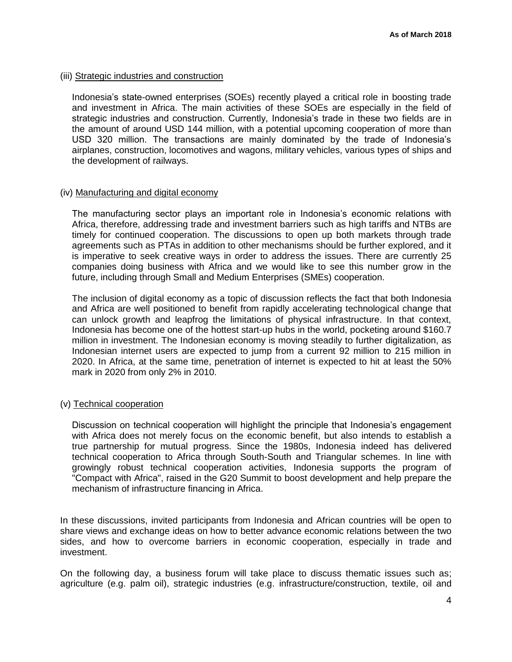## (iii) Strategic industries and construction

Indonesia's state-owned enterprises (SOEs) recently played a critical role in boosting trade and investment in Africa. The main activities of these SOEs are especially in the field of strategic industries and construction. Currently, Indonesia's trade in these two fields are in the amount of around USD 144 million, with a potential upcoming cooperation of more than USD 320 million. The transactions are mainly dominated by the trade of Indonesia's airplanes, construction, locomotives and wagons, military vehicles, various types of ships and the development of railways.

# (iv) Manufacturing and digital economy

The manufacturing sector plays an important role in Indonesia's economic relations with Africa, therefore, addressing trade and investment barriers such as high tariffs and NTBs are timely for continued cooperation. The discussions to open up both markets through trade agreements such as PTAs in addition to other mechanisms should be further explored, and it is imperative to seek creative ways in order to address the issues. There are currently 25 companies doing business with Africa and we would like to see this number grow in the future, including through Small and Medium Enterprises (SMEs) cooperation.

The inclusion of digital economy as a topic of discussion reflects the fact that both Indonesia and Africa are well positioned to benefit from rapidly accelerating technological change that can unlock growth and leapfrog the limitations of physical infrastructure. In that context, Indonesia has become one of the hottest start-up hubs in the world, pocketing around \$160.7 million in investment. The Indonesian economy is moving steadily to further digitalization, as Indonesian internet users are expected to jump from a current 92 million to 215 million in 2020. In Africa, at the same time, penetration of internet is expected to hit at least the 50% mark in 2020 from only 2% in 2010.

# (v) Technical cooperation

Discussion on technical cooperation will highlight the principle that Indonesia's engagement with Africa does not merely focus on the economic benefit, but also intends to establish a true partnership for mutual progress. Since the 1980s, Indonesia indeed has delivered technical cooperation to Africa through South-South and Triangular schemes. In line with growingly robust technical cooperation activities, Indonesia supports the program of "Compact with Africa", raised in the G20 Summit to boost development and help prepare the mechanism of infrastructure financing in Africa.

In these discussions, invited participants from Indonesia and African countries will be open to share views and exchange ideas on how to better advance economic relations between the two sides, and how to overcome barriers in economic cooperation, especially in trade and investment.

On the following day, a business forum will take place to discuss thematic issues such as; agriculture (e.g. palm oil), strategic industries (e.g. infrastructure/construction, textile, oil and